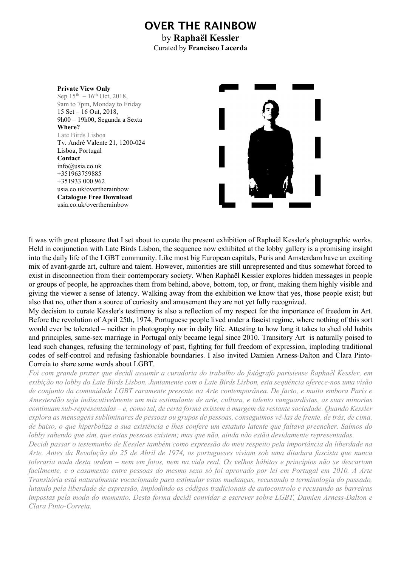# OVER THE RAINBOW

by Raphaël Kessler Curated by Francisco Lacerda



It was with great pleasure that I set about to curate the present exhibition of Raphaël Kessler's photographic works. Held in conjunction with Late Birds Lisbon, the sequence now exhibited at the lobby gallery is a promising insight into the daily life of the LGBT community. Like most big European capitals, Paris and Amsterdam have an exciting mix of avant-garde art, culture and talent. However, minorities are still unrepresented and thus somewhat forced to exist in disconnection from their contemporary society. When Raphaël Kessler explores hidden messages in people or groups of people, he approaches them from behind, above, bottom, top, or front, making them highly visible and giving the viewer a sense of latency. Walking away from the exhibition we know that yes, those people exist; but also that no, other than a source of curiosity and amusement they are not yet fully recognized.

My decision to curate Kessler's testimony is also a reflection of my respect for the importance of freedom in Art. Before the revolution of April 25th, 1974, Portuguese people lived under a fascist regime, where nothing of this sort would ever be tolerated – neither in photography nor in daily life. Attesting to how long it takes to shed old habits and principles, same-sex marriage in Portugal only became legal since 2010. Transitory Art is naturally poised to lead such changes, refusing the terminology of past, fighting for full freedom of expression, imploding traditional codes of self-control and refusing fashionable boundaries. I also invited Damien Arness-Dalton and Clara Pinto-Correia to share some words about LGBT.

Foi com grande prazer que decidi assumir a curadoria do trabalho do fotógrafo parisiense Raphaël Kessler, em exibição no lobby do Late Birds Lisbon. Juntamente com o Late Birds Lisbon, esta sequência oferece-nos uma visão de conjunto da comunidade LGBT raramente presente na Arte contemporânea. De facto, e muito embora Paris e Amesterdão seja indiscutivelmente um mix estimulante de arte, cultura, e talento vanguardistas, as suas minorias continuam sub-representadas – e, como tal, de certa forma existem à margem da restante sociedade. Quando Kessler explora as mensagens subliminares de pessoas ou grupos de pessoas, conseguimos vê-las de frente, de trás, de cima, de baixo, o que hiperboliza a sua existência e lhes confere um estatuto latente que faltava preencher. Saímos do lobby sabendo que sim, que estas pessoas existem; mas que não, ainda não estão devidamente representadas.

Decidi passar o testemunho de Kessler também como expressão do meu respeito pela importância da liberdade na Arte. Antes da Revolução do 25 de Abril de 1974, os portugueses viviam sob uma ditadura fascista que nunca toleraria nada desta ordem – nem em fotos, nem na vida real. Os velhos hábitos e princípios não se descartam facilmente, e o casamento entre pessoas do mesmo sexo só foi aprovado por lei em Portugal em 2010. A Arte Transitória está naturalmente vocacionada para estimular estas mudanças, recusando a terminologia do passado, lutando pela liberdade de expressão, implodindo os códigos tradicionais de autocontrolo e recusando as barreiras impostas pela moda do momento. Desta forma decidi convidar a escrever sobre LGBT, Damien Arness-Dalton e Clara Pinto-Correia.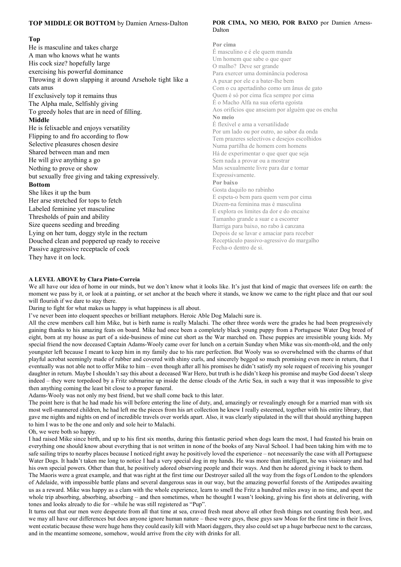#### TOP MIDDLE OR BOTTOM by Damien Arness-Dalton

#### Top

He is masculine and takes charge A man who knows what he wants His cock size? hopefully large exercising his powerful dominance Throwing it down slapping it around Arsehole tight like a cats anus If exclusively top it remains thus The Alpha male, Selfishly giving To greedy holes that are in need of filling. Middle He is felixaeble and enjoys versatility Flipping to and fro according to flow Selective pleasures chosen desire Shared between man and men He will give anything a go Nothing to prove or show but sexually free giving and taking expressively. Bottom She likes it up the bum Her arse stretched for tops to fetch Labeled feminine yet masculine Thresholds of pain and ability Size queens seeding and breeding Lying on her tum, doggy style in the rectum Douched clean and poppered up ready to receive Passive aggressive receptacle of cock They have it on lock.

#### POR CIMA, NO MEIO, POR BAIXO por Damien Arness-Dalton

#### Por cima

É masculino e é ele quem manda Um homem que sabe o que quer O malho? Deve ser grande Para exercer uma dominância poderosa A puxar por ele e a bater-lhe bem Com o cu apertadinho como um ânus de gato Quem é só por cima fica sempre por cima É o Macho Alfa na sua oferta egoísta Aos orifícios que anseiam por alguém que os encha No meio É flexível e ama a versatilidade Por um lado ou por outro, ao sabor da onda Tem prazeres selectivos e desejos escolhidos Numa partilha de homem com homens Há de experimentar o que quer que seja Sem nada a provar ou a mostrar Mas sexualmente livre para dar e tomar Expressivamente. Por baixo Gosta daquilo no rabinho E espeta-o bem para quem vem por cima Dizem-na feminina mas é masculina E explora os limites da dor e do encaixe Tamanho grande a suar e a escorrer Barriga para baixo, no rabo à canzana Depois de se lavar e amaciar para receber Receptáculo passivo-agressivo do margalho Fecha-o dentro de si.

#### A LEVEL ABOVE by Clara Pinto-Correia

We all have our idea of home in our minds, but we don't know what it looks like. It's just that kind of magic that oversees life on earth: the moment we pass by it, or look at a painting, or set anchor at the beach where it stands, we know we came to the right place and that our soul will flourish if we dare to stay there.

Daring to fight for what makes us happy is what happiness is all about.

I've never been into eloquent speeches or brilliant metaphors. Heroic Able Dog Malachi sure is.

All the crew members call him Mike, but is birth name is really Malachi. The other three words were the grades he had been progressively gaining thanks to his amazing feats on board. Mike had once been a completely black young puppy from a Portuguese Water Dog breed of eight, born at my house as part of a side-business of mine cut short as the War marched on. These puppies are irresistible young kids. My special friend the now deceased Captain Adams-Wooly came over for lunch on a certain Sunday when Mike was six-month-old, and the only youngster left because I meant to keep him in my family due to his rare perfection. But Wooly was so overwhelmed with the charms of that playful acrobat seemingly made of rubber and covered with shiny curls, and sincerely begged so much promising even more in return, that I eventually was not able not to offer Mike to him – even though after all his promises he didn't satisfy my sole request of receiving his younger daughter in return. Maybe I shouldn't say this about a deceased War Hero, but truth is he didn't keep his promise and maybe God doesn't sleep indeed – they were torpedoed by a Fritz submarine up inside the dense clouds of the Artic Sea, in such a way that it was impossible to give then anything coming the least bit close to a proper funeral.

Adams-Wooly was not only my best friend, but we shall come back to this later.

The point here is that he had made his will before entering the line of duty, and, amazingly or revealingly enough for a married man with six most well-mannered children, he had left me the pieces from his art collection he knew I really esteemed, together with his entire library, that gave me nights and nights on end of incredible travels over worlds apart. Also, it was clearly stipulated in the will that should anything happen to him I was to be the one and only and sole heir to Malachi.

Oh, we were both so happy.

I had raised Mike since birth, and up to his first six months, during this fantastic period when dogs learn the most, I had feasted his brain on everything one should know about everything that is not written in none of the books of any Naval School. I had been taking him with me to safe sailing trips to nearby places because I noticed right away he positively loved the experience – not necessarily the case with all Portuguese Water Dogs. It hadn't taken me long to notice I had a very special dog in my hands. He was more than intelligent, he was visionary and had his own special powers. Other than that, he positively adored observing people and their ways. And then he adored giving it back to them.

The Maoris were a great example, and that was right at the first time our Destroyer sailed all the way from the fogs of London to the splendors of Adelaide, with impossible battle plans and several dangerous seas in our way, but the amazing powerful forests of the Antipodes awaiting us as a reward. Mike was happy as a clam with the whole experience, learn to smell the Fritz a hundred miles away in no time, and spent the whole trip absorbing, absorbing, absorbing – and then sometimes, when he thought I wasn't looking, giving his first shots at delivering, with tones and looks already to die for –while he was still registered as "Pup".

It turns out that our men were desperate from all that time at sea, craved fresh meat above all other fresh things not counting fresh beer, and we may all have our differences but does anyone ignore human nature – these were guys, these guys saw Moas for the first time in their lives, went ecstatic because these were huge hens they could easily kill with Maori daggers, they also could set up a huge barbecue next to the carcass, and in the meantime someone, somehow, would arrive from the city with drinks for all.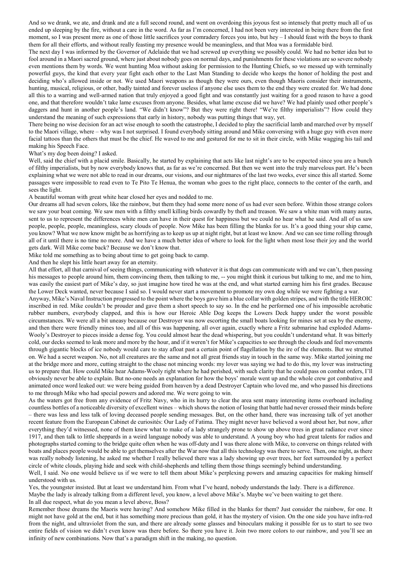And so we drank, we ate, and drank and ate a full second round, and went on overdoing this joyous fest so intensely that pretty much all of us ended up sleeping by the fire, without a care in the word. As far as I'm concerned, I had not been very interested in being there from the first moment, so I was present more as one of those little sacrifices your comradery forces you into, but hey – I should feast with the boys to thank them for all their efforts, and without really feasting my presence would be meaningless, and that Moa was a formidable bird.

The next day I was informed by the Governor of Adelaide that we had screwed up everything we possibly could. We had no better idea but to fool around in a Maori sacred ground, where just about nobody goes on normal days, and punishments for these violations are so severe nobody even mentions them by words. We went hunting Moa without asking for permission to the Hunting Chiefs, so we messed up with terminally powerful guys, the kind that every year fight each other to the Last Man Standing to decide who keeps the honor of holding the post and deciding who's allowed inside or not. We used Maori weapons as though they were ours, even though Maoris consider their instruments, hunting, musical, religious, or other, badly tainted and forever useless if anyone else uses them to the end they were created for. We had done all this to a warring and well-armed nation that truly enjoyed a good fight and was constantly just waiting for a good reason to have a good one, and that therefore wouldn't take lame excuses from anyone. Besides, what lame excuse did we have? We had plainly used other people's daggers and hunt in another people's land. "We didn't know"? But they were right there! "We're filthy imperialists"? How could they understand the meaning of such expressions that early in history, nobody was putting things that way, yet.

There being no wise decision for an act wise enough to sooth the catastrophe, I decided to play the sacrificial lamb and marched over by myself to the Maori village, where – why was I not surprised. I found everybody sitting around and Mike conversing with a huge guy with even more facial tattoos than the others that must be the chief. He waved to me and gestured for me to sit in their circle, with Mike wagging his tail and making his Speech Face.

What's my dog been doing? I asked.

Well, said the chief with a placid smile. Basically, he started by explaining that acts like last night's are to be expected since you are a bunch of filthy imperialists, but by now everybody knows that, as far as we're concerned. But then we went into the truly marvelous part. He's been explaining what we were not able to read in our dreams, our visions, and our nightmares of the last two weeks, ever since this all started. Some passages were impossible to read even to Te Pito Te Henua, the woman who goes to the right place, connects to the center of the earth, and sees the light.

A beautiful woman with great white hear closed her eyes and nodded to me.

Our dreams all had seven colors, like the rainbow, but them they had some more none of us had ever seen before. Within those strange colors we saw your boat coming. We saw men with a filthy smell killing birds cowardly by theft and treason. We saw a white man with many auras, sent to us to represent the differences white men can have in their quest for happiness but we could no hear what he said. And all of us saw people, people, people, meaningless, scary clouds of people. Now Mike has been filling the blanks for us. It's a good thing your ship came, you know? What we now know might be as horrifying as to keep us up at night right, but at least we know. And we can see time rolling through all of it until there is no time no more. And we have a much better idea of where to look for the light when most lose their joy and the world gets dark. Will Mike come back? Because we don't know that.

Mike told me something as to being about time to get going back to camp.

And then he slept his little heart away for an eternity.

All that effort, all that carnival of seeing things, communicating with whatever it is that dogs can communicate with and we can't, then passing his messages to people around him, them convincing them, then talking to me, -- you might think it curious but talking to me, and me to him, was easily the easiest part of Mike's day, so just imagine how tired he was at the end, and what started earning him his first grades. Because the Lower Deck wanted, never because I said so. I would never start a movement to promote my own dog while we were fighting a war.

Anyway, Mike's Naval Instruction progressed to the point where the boys gave him a blue collar with golden stripes, and with the title HEROIC inscribed in red. Mike couldn't be prouder and gave them a short speech to say so. In the end he performed one of his impossible acrobatic rubber numbers, everybody clapped, and this is how our Heroic Able Dog keeps the Lowers Deck happy under the worst possible circumstances. We were all a bit uneasy because our Destroyer was now escorting the small boats looking for mines set at sea by the enemy, and then there were friendly mines too, and all of this was happening, all over again, exactly where a Fritz submarine had exploded Adams-Wooly's Destroyer to pieces inside a dense fog. You could almost hear the dead whispering, but you couldn't understand what. It was bitterly cold, our decks seemed to leak more and more by the hour, and if it weren't for Mike's capacities to see through the clouds and feel movements through gigantic blocks of ice nobody would care to stay afloat past a certain point of flagellation by the ire of the elements. But we strutted on. We had a secret weapon. No, not all creatures are the same and not all great friends stay in touch in the same way. Mike started joining me at the bridge more and more, cutting straight to the chase not mincing words: my lover was saying we had to do this, my lover was instructing us to prepare that. How could Mike hear Adams-Wooly right where he had perished, with such clarity that he could pass on combat orders, I'll obviously never be able to explain. But no-one needs an explanation for how the boys' morale went up and the whole crew got combative and animated once word leaked out: we were being guided from heaven by a dead Destroyer Captain who loved me, and who passed his directions to me through Mike who had special powers and adored me. We were going to win.

As the waters got free from any evidence of Fritz Navy, who in its hurry to clear the area sent many interesting items overboard including countless bottles of a noticeable diversity of excellent wines – which shows the notion of losing that battle had never crossed their minds before – there was less and less talk of loving deceased people sending messages. But, on the other hand, there was increasing talk of yet another recent feature from the European Cabinet de curiosités: Our Lady of Fatima. They might never have believed a word about her, but now, after everything they'd witnessed, none of them knew what to make of a lady strangely prone to show up above trees in great radiance ever since 1917, and then talk to little sheppards in a weird language nobody was able to understand. A young boy who had great talents for radios and photographs started coming to the bridge quite often when he was off-duty and I was there alone with Mike, to converse on things related with boats and places people would be able to get themselves after the War now that all this technology was there to serve. Then, one night, as there was really nobody listening, he asked me whether I really believed there was a lady showing up over trees, her feet surrounded by a perfect circle of white clouds, playing hide and seek with child-shepherds and telling them those things seemingly behind understanding.

Well, I said. No one would believe us if we were to tell them about Mike's perplexing powers and amazing capacities for making himself understood with us.

Yes, the youngster insisted. But at least we understand him. From what I've heard, nobody understands the lady. There is a difference. Maybe the lady is already talking from a different level, you know, a level above Mike's. Maybe we've been waiting to get there.

In all due respect, what do you mean a level above, Boss?

Remember those dreams the Maoris were having? And somehow Mike filled in the blanks for them? Just consider the rainbow, for one. It might not have gold at the end, but it has something more precious than gold, it has the mystery of vision. On the one side you have infra-red from the night, and ultraviolet from the sun, and there are already some glasses and binoculars making it possible for us to start to see two entire fields of vision we didn't even know was there before. So there you have it. Join two more colors to our rainbow, and you'll see an infinity of new combinations. Now that's a paradigm shift in the making, no question.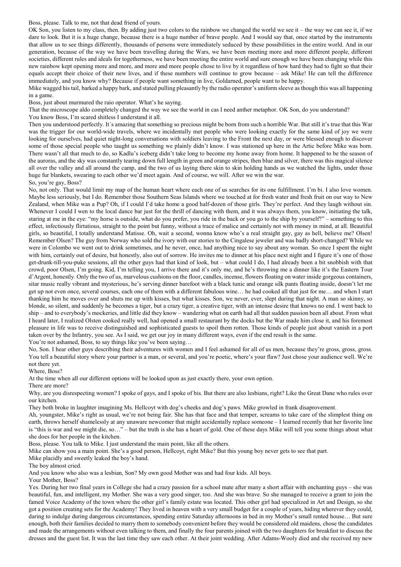#### Boss, please. Talk to me, not that dead friend of yours.

OK Son, you listen to my class, then. By adding just two colors to the rainbow we changed the world we see it – the way we can see it, if we dare to look. But it is a huge change, because there is a huge number of brave people. And I would say that, once started by the instruments that allow us to see things differently, thousands of persons were immediately seduced by these possibilities in the entire world. And in our generation, because of the way we have been travelling during the Wars, we have been meeting more and more different people, different societies, different rules and ideals for togetherness, we have been meeting the entire world and sure enough we have been changing while this new rainbow kept opening more and more, and more and more people chose to live by it regardless of how hard they had to fight so that their equals accept their choice of their new lives, and if these numbers will continue to grow because – ask Mike! He can tell the difference immediately, and you know why? Because if people want something in live, Goldarned, people want to be happy.

Mike wagged his tail, barked a happy bark, and stated pulling pleasantly by the radio operator's uniform sleeve as though this was all happening in a game.

Boss, just about murmured the raio operator. What's he saying.

That the microscope aldo completely changed the way we see the world in cas I need anther metaphor. OK Son, do you understand?

You know Boss, I'm scared shitless I understand it all.

Then you understood perfectly. It´s amazing that something so precious might be born from such a horrible War. But still it's true that this War was the trigger for our world-wide travels, where we incidentally met people who were looking exactly for the same kind of joy we were looking for ourselves, had quiet night-long conversations with soldiers leaving to the Front the next day, or were blessed enough to discover some of those special people who taught us something we plainly didn't know. I was stationed up here in the Artic before Mike was born. There wasn't all that much to do, so Kadlu's iceberg didn't take long to become my home away from home. It happened to be the season of the auroras, and the sky was constantly tearing down full length in green and orange stripes, then blue and silver, there was this magical silence all over the valley and all around the camp, and the two of us laying there skin to skin holding hands as we watched the lights, under those huge fur blankets, swearing to each other we'd meet again. And of course, we will. After we win the war. So, you're gay, Boss?

No, not only. That would limit my map of the human heart where each one of us searches for its one fulfillment. I'm bi. I also love women. Maybe less seriously, but I do. Remember those Southern Seas Islands where we touched at for fresh water and fresh fruit on our way to New Zealand, when Mike was a Pup? Oh, if I could I'd take home a good half-dozen of those girls. They're perfect. And they laugh without sin. Whenever I could I wen to the local dance bar just for the thrill of dancing with them, and it was always them, you know, initiating the talk, staring at me in the eye: "my horse is outside, what do you prefer, you ride in the back or you go to the ship by yourself?" – something to this effect, infectiously flirtatious, straight to the point but funny, without a trace of malice and certainly not with money in mind, at all. Beautiful girls, so beautiful, I totally understand Matisse. Oh, wait a second, wonna know who's a real straight gay, gay as hell, believe me? Olsen! Remember Olsen? The guy from Norway who sold the ivory with our stories to the Cingalese jeweler and was badly short-changed? While we were in Colombo we went out to drink sometimes, and he never, once, had anything nice to say about any woman. So once I spent the night with him, certainly out of desire, but honestly, also out of sorrow. He invites me to dinner at his place next night and I figure it's one of those get-drunk-till-you-puke sessions, all the other guys had that kind of look, but – what could I do, I had already been a bit snobbish with that crowd, poor Olsen, I'm going. Kid, I'm telling you, I arrive there and it's only me, and he's throwing me a dinner like it's the Eastern Tour d'Argent, honestly. Only the two of us, marvelous cushions on the floor, candles, incense, flowers floating on water inside gorgeous containers, sitar music really vibrant and mysterious, he's serving dinner barefoot with a black tunic and orange silk pants floating inside, doesn't let me get up not even once, several courses, each one of them with a different fabulous wine… he had cooked all that just for me… and when I start thanking him he moves over and shuts me up with kisses, but what kisses. Son, we never, ever, slept during that night. A man so skinny, so blonde, so silent, and suddenly he becomes a tiger, but a crazy tiger, a creative tiger, with an intense desire that knows no end. I went back to ship – and to everybody's mockeries, and little did they know – wandering what on earth had all that sudden passion been all about. From what I heard later, I realized Olsten cooked really well, had opened a small restaurant by the docks but the War made him close it, and his foremost pleasure in life was to receive distinguished and sophisticated guests to spoil them rotten. Those kinds of people just about vanish in a port taken over by the Infantry, you see. As I said, we get our joy in many different ways, even if the end result is the same. You're not ashamed, Boss, to say things like you've been saying...

No, Son. I hear other guys describing their adventures with women and I feel ashamed for all of us men, because they're gross, gross, gross. You tell a beautiful story where your partner is a man, or several, and you're poetic, where's your flaw? Just chose your audience well. We're not there yet.

Where, Boss?

At the time when all our different options will be looked upon as just exactly there, your own option.

There are more?

Why, are you disrespecting women? I spoke of gays, and I spoke of bis. But there are also lesbians, right? Like the Great Dane who rules over our kitchen.

They both broke in laughter imagining Ms. Hellcoyt with dog's cheeks and dog's paws. Mike growled in frank disaprovement.

Ah, youngster, Mike's right as usual, we're not being fair. She has that face and that temper, screams to take care of the slimplest thing on earth, throws herself shamelessly at any unaware newcomer that might accidentally replace someone – I learned recently that her favorite line is "this is war and we might die, so…" – but the truth is she has a heart of gold. One of these days Mike will tell you some things about what she does for her people in the kitchen.

Boss, please. You talk to Mike. I just understand the main point, like all the others.

Mike can show you a main point. She's a good person, Hellcoyt, right Mike? But this young boy never gets to see that part.

Mike placidly and sweetly leaked the boy's hand.

The boy almost cried.

And you know who also was a lesbian, Son? My own good Mother was and had four kids. All boys.

Your Mother, Boss?

Yes. During her two final years in College she had a crazy passion for a school mate after many a short affair with enchanting guys – she was beautiful, fun, and intelligent, my Mother. She was a very good singer, too. And she was brave. So she managed to receive a grant to join the famed Voice Academy of the town where the other girl's family estate was located. This other girl had specialized in Art and Design, so she got a position creating sets for the Academy! They lived in heaven with a very small budget for a couple of years, hiding wherever they could, daring to indulge during dangerous circumstances, spending entire Saturday afternoons in bed in my Mother's small rented house… But sure enough, both their families decided to marry them to somebody convenient before they would be considered old maidens, chose the candidates and made the arrangements without even talking to them, and finally the four parents joined with the two daughters for breakfast to discuss the dresses and the guest list. It was the last time they saw each other. At their joint wedding. After Adams-Wooly died and she received my new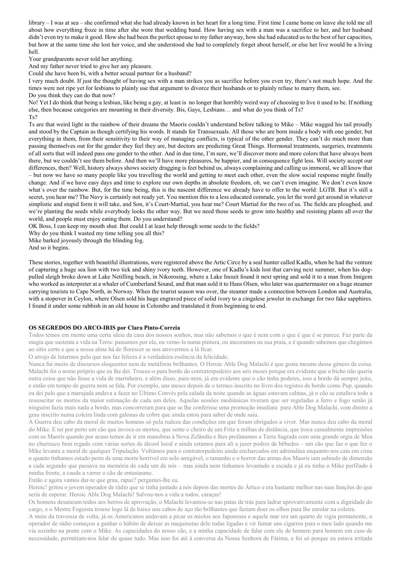library – I was at sea – she confirmed what she had already known in her heart for a long time. First time I came home on leave she told me all about how everything froze in time after she wore that wedding band. How having sex with a man was a sacrifice to her, and her husband didn't even try to make it good. How she had been the perfect spouse to my father anyway, how she had educated us to the best of her capacities, but how at the same time she lost her voice, and she understood she had to completely forget about herself, or else her live would be a living hell.

Your grandparents never told her anything.

And my father never tried to give her any pleasure.

Could she have been bi, with a better sexual partner for a husband?

I very much doubt. If just the thought of having sex with a man strikes you as sacrifice before you even try, there's not much hope. And the times were not ripe yet for lesbians to plainly use that argument to divorce their husbands or to plainly refuse to marry them, see. Do you think they can do that now?

No! Yet I do think that being a lesbian, like being a gay, at least is no longer that horribly weird way of choosing to live it used to be. If nothing else, then because categories are mounting in their diversity. Bis, Gays, Lesbians… and what do you think of Ts? Ts?

Ts are that weird light in the rainbow of their dreams the Maoris couldn't understand before talking to Mike – Mike wagged his tail proudly and stood by the Captain as though certifying his words. It stands for Transsexuals. All those who are born inside a body with one gender, but everything in them, from their sensitivity to their way of managing conflicts, is typical of the other gender. They can't do much more than passing themselves out for the gender they feel they are, but doctors are predicting Great Things. Hormonal treatments, surgeries, treatments of all sorts that will indeed pass one gender to the other. And in due time, I'm sure, we'll discover more and more colors that have always been there, but we couldn't see them before. And then we'll have more pleasures, be happier, and in consequence fight less. Will society accept our differences, then? Well, history always shows society dragging is feet behind us, always complaining and calling us immoral, we all know that – but now we have so many people like you travelling the world and getting to meet each other, even the slow social response might finally change. And if we have easy days and time to explore our own depths in absolute freedom, oh, we can't even imagine. We don't even know what's over the rainbow. But, for the time being, this is the nascent difference we already have to offer to the world: LGTB. But it's still a secret, you hear me? The Navy is certainly not ready yet. You mention this to a less educated comrade, you let the word get around in whatever simplistic and stupid form it will take, and Son, it's Court-Martial, you hear me? Court Martial for the two of us. The fields are ploughed, and we're planting the seeds while everybody looks the other way. But we need those seeds to grow into healthy and resisting plants all over the world, and people must enjoy eating them. Do you understand?

OK Boss, I can keep my mouth shut. But could I at least help through some seeds to the fields?

Why do you think I wasted my time telling you all this?

Mike barked joyously through the blinding fog.

And so it begins.

These stories, together with beautiful illustrations, were registered above the Artic Circe by a seal hunter called Kadlu, when he had the venture of capturing a huge sea lion with two tick and shiny ivory teeth. However, one of Kadlu's kids lost that carving next summer, when his dogpulled sleigh broke down at Lake Netilling beach, in Nikorosing, where a Lake Inouit found it next spring and sold it to a man from Imigem who worked as interpreter at a whaler of Cumberland Sound, and that man sold it to Hans Olsen, who later was quartermaster on a huge steamer carrying tourists to Cape North, in Norway. When the tourist season was over, the steamer made a connection between London and Australia, with a stopover in Ceylon, where Olsen sold his huge engraved piece of solid ivory to a cingalese jeweler in exchange for two fake sapphires. I found it under some rubbish in an old house in Colombo and translated it from beginning to end.

#### OS SEGREDOS DO ARCO-IRIS por Clara Pinto-Correia

Todos temos em mente uma certa ideia da casa dos nossos sonhos, mas não sabemos o que é nem com o que é que é se parece. Faz parte da magia que sustenta a vida na Terra: passamos por ela, ou vemo-la numa pintura, ou ancoramos na sua praia, e é quando sabemos que chegámos ao sítio certo e que a nossa alma há de florescer se nos atrevermos a lá ficar.

O arrojo de lutarmos pelo que nos faz felizes é a verdadeira essência da felicidade.

Nunca fui muito de discursos eloquentes nem de metáforas brilhantes. O Heroic Able Dog Malachi é que gosta mesmo desse género de coisa. Malachi foi o nome próprio que eu lhe dei. Trouxe-o para bordo do contratorpedeiro aos seis meses porque era evidente que o bicho não queria outra coisa que não fosse a vida de marinheiro, e além disso, para mim, já era evidente que o cão tinha poderes, isso a bordo dá sempre jeito, e então em tempo de guerra nem se fala. Por exemplo, uns meses depois de o termos inscrito no livro dos registos de bordo como Pup, quando eu dei pelo que a marujada andava a fazer no Último Convés pela calada da noite quando as águas estavam calmas, já o cão se estafava todo a ressuscitar os mortos da maior estimação de cada um deles. Aquelas sessões mediúnicas tiveram que ser reguladas a ferro e fogo senão já ninguém fazia mais nada a bordo, mas concorreram para que se lhe conferisse uma promoção imediata para Able Dog Malachi, com direito a grau inscrito numa coleira linda com galonas de cobre que ainda estou para saber de onde saiu.

A Guerra deu cabo da moral de muitos homens só pela rudeza das condições em que foram obrigados a viver. Mas nunca deu cabo da moral do Mike. E ter por perto um cão que invoca os mortos, que sente o cheiro de um Fritz a milhas de distância, que troca casualmente impressões com os Maoris quando por acaso temos de ir em manobras à Nova Zelândia e lhes profanamos a Terra Sagrada com uma grande orgia de Moa no churrasco bem regado com várias sortes de álcool local e ainda estamos para ali a jazer podres de bêbedos – um cão que faz o que fez o Mike levanta a moral de qualquer Tripulação. Voltámos para o contratorpedeiro ainda encharcados em adrenalina enquanto nos caía em cima o quanto tínhamos estado perto de uma morte horrível em solo amigável, o tamanho e o horror das armas dos Maoris iam subindo de dimensão a cada segundo que passava na memória de cada um de nós – mas ainda nem tínhamos levantado a escada e já eu tinha o Mike perfilado à minha frente, a cauda a varrer o cão de entusiasmo.

Então e agora vamos dar-te que grau, rapaz? perguntei-lhe eu.

Heroic! gritou o jovem operador de rádio que se tinha juntado a nós depois das mortes do Ártico e era bastante melhor nas suas funções do que seria de esperar. Heroic Able Dog Malachi! Salvou-nos a vida a todos, caraças!

Os homens desataram todos aos berros de aprovação, o Malachi levantou-se nas patas de trás para ladrar aprovativamente com a dignidade do cargo, e o Mestre Foguista trouxe logo lá de baixo uns cabos de aço tão brilhantes que faziam doer os olhos para lhe enrolar na coleira.

A meio da travessia de volta, já os Americanos andavam a picar os miolos aos Japoneses e aquele mar era um quarto de vigia permanente, o operador de rádio começou a ganhar o hábito de deixar as maquinetas dele todas ligadas e vir fumar uns cigarros para o meu lado quando me via sozinho na ponte com o Mike. As capacidades do nosso cão, e a minha capacidade de falar com ele de homem para homem em caso de necessidade, permitiam-nos falar de quase tudo. Mas isso foi até à conversa da Nossa Senhora de Fátima, e foi só porque eu estava irritado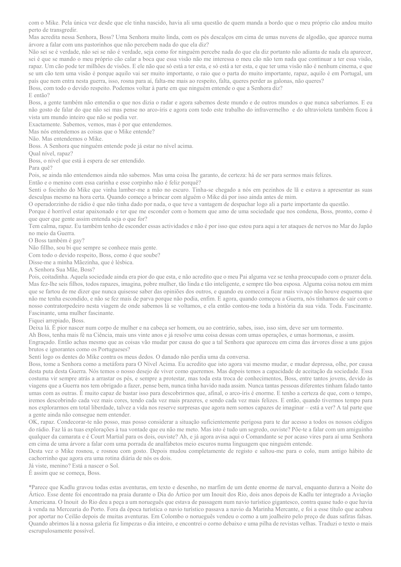com o Mike. Pela única vez desde que ele tinha nascido, havia ali uma questão de quem manda a bordo que o meu próprio cão andou muito perto de transgredir.

Mas acredita nessa Senhora, Boss? Uma Senhora muito linda, com os pés descalços em cima de umas nuvens de algodão, que aparece numa árvore a falar com uns pastorinhos que não percebem nada do que ela diz?

Não sei se é verdade, não sei se não é verdade, seja como for ninguém percebe nada do que ela diz portanto não adianta de nada ela aparecer, sei é que se mando o meu próprio cão calar a boca que essa visão não me interessa o meu cão não tem nada que continuar a ter essa visão, rapaz. Um cão pode ter milhões de visões. E ele não que só está a ter esta, e só está a ter esta, e que ter uma visão não é nenhum cinema, e que se um cão tem uma visão é porque aquilo vai ser muito importante, o raio que o parta do muito importante, rapaz, aquilo é em Portugal, um país que nem entra nesta guerra, isso, rosna para aí, falta-me mais ao respeito, falta, queres perder as galonas, não queres? Boss, com todo o devido respeito. Podemos voltar à parte em que ninguém entende o que a Senhora diz?

#### E então?

Boss, a gente também não entendia o que nos dizia o radar e agora sabemos deste mundo e de outros mundos o que nunca saberíamos. E eu não gosto de falar do que não sei mas pense no arco-íris e agora com todo este trabalho do infravermelho e do ultravioleta também ficou à vista um mundo inteiro que não se podia ver.

Exactamente. Sabemos, vemos, mas é por que entendemos.

Mas nós entendemos as coisas que o Mike entende?

Não. Mas entendemos o Mike.

Boss. A Senhora que ninguém entende pode já estar no nível acima.

Qual nível, rapaz?

Boss, o nível que está à espera de ser entendido.

Para quê?

Pois, se ainda não entendemos ainda não sabemos. Mas uma coisa lhe garanto, de certeza: há de ser para sermos mais felizes.

Então e o menino com essa carinha e esse corpinho não é feliz porquê?

Senti o focinho do Mike que vinha lamber-me a mão no escuro. Tinha-se chegado a nós em pezinhos de lã e estava a apresentar as suas desculpas mesmo na hora certa. Quando começo a brincar com alguém o Mike dá por isso ainda antes de mim.

O operadorzinho de rádio é que não tinha dado por nada, o que teve a vantagem de despachar logo ali a parte importante da questão.

Porque é horrível estar apaixonado e ter que me esconder com o homem que amo de uma sociedade que nos condena, Boss, pronto, como é que quer que gente assim entenda seja o que for?

Tem calma, rapaz. Eu também tenho de esconder essas actividades e não é por isso que estou para aqui a ter ataques de nervos no Mar do Japão no meio da Guerra.

O Boss também é gay?

Não fillho, sou bi que sempre se conhece mais gente.

Com todo o devido respeito, Boss, como é que soube?

Disse-me a minha Mãezinha, que é lésbica.

A Senhora Sua Mãe, Boss?

Pois, coitadinha. Aquela sociedade ainda era pior do que esta, e não acredito que o meu Pai alguma vez se tenha preocupado com o prazer dela. Mas fez-lhe seis filhos, todos rapazes, imagina, pobre mulher, tão linda e tão inteligente, e sempre tão boa esposa. Alguma coisa notou em mim que se fartou de me dizer que nunca quisesse saber das opiniões dos outros, e quando eu comecei a ficar mais vivaço não houve esquema que não me tenha escondido, e não se fez mais de parva porque não podia, enfim. E agora, quando começou a Guerra, nós tínhamos de sair com o nosso contratorpedeiro nesta viagem de onde sabemos lá se voltamos, e ela então contou-me toda a história da sua vida. Toda. Fascinante. Fascinante, uma mulher fascinante.

#### Fiquei arrepiado, Boss.

Deixa lá. É pior nascer num corpo de mulher e na cabeça ser homem, ou ao contrário, sabes, isso, isso sim, deve ser um tormento.

Ah Boss, tenha mais fé na Ciência, mais uns vinte anos e já resolve uma coisa dessas com umas operações, e umas hormonas, e assim.

Engraçado. Então achas mesmo que as coisas vão mudar por causa do que a tal Senhora que apareceu em cima das árvores disse a uns gajos brutos e ignorantes como os Portugueses?

Senti logo os dentes do Mike contra os meus dedos. O danado não perdia uma da conversa.

Boss, tome a Senhora como a metáfora para O Nível Acima. Eu acredito que isto agora vai mesmo mudar, e mudar depressa, olhe, por causa desta puta desta Guerra. Nós temos o nosso desejo de viver como queremos. Mas depois temos a capacidade de aceitação da sociedade. Essa costuma vir sempre atrás a arrastar os pés, e sempre a protestar, mas toda esta troca de conhecimentos, Boss, entre tantos jovens, devido às viagens que a Guerra nos tem obrigado a fazer, pense bem, nunca tinha havido nada assim. Nunca tantas pessoas diferentes tinham falado tanto umas com as outras. É muito capaz de bastar isso para descobrirmos que, afinal, o arco-íris é enorme. E tenho a certeza de que, com o tempo, iremos descobrindo cada vez mais cores, tendo cada vez mais prazeres, e sendo cada vez mais felizes. E então, quando tivermos tempo para nos explorarmos em total liberdade, talvez a vida nos reserve surpresas que agora nem somos capazes de imaginar – está a ver? A tal parte que a gente ainda não consegue nem entender.

OK, rapaz. Condecorar-te não posso, mas posso considerar a situação suficientemente perigosa para te dar acesso a todos os nossos códigos do rádio. Faz lá as tuas explorações à tua vontade que eu não me meto. Mas isto é tudo um segredo, ouviste? Põe-te a falar com um amiguinho qualquer da camarata e é Court Martial para os dois, ouviste? Ah, e já agora avisa aqui o Comandante se por acaso vires para aí uma Senhora em cima de uma árvore a falar com uma porrada de analfabetos meio escuros numa linguagem que ninguém entende.

Desta vez o Mike rosnou, e rosnou com gosto. Depois mudou completamente de registo e saltou-me para o colo, num antigo hábito de cachorrinho que agora era uma rotina diária de nós os dois.

Já viste, menino? Está a nascer o Sol.

É assim que se começa, Boss.

\*Parece que Kadlu gravou todas estas aventuras, em texto e desenho, no marfim de um dente enorme de narval, enquanto durava a Noite do Ártico. Esse dente foi encontrado na praia durante o Dia do Ártico por um Inouit dos Rio, dois anos depois de Kadlu ter integrado a Aviação Americana. O Inouit do Rio deu a peça a um norueguês que estava de passagem num navio turístico gigantesco, contra quase tudo o que havia à venda na Mercearia do Porto. Fora da época turística o navio turístico passava a navio da Marinha Mercante, e foi a esse título que acabou por aportar no Ceilão depois de muitas aventuras. Em Colombo o norueguês vendeu o corno a um joalheiro pelo preço de duas safiras falsas. Quando abrimos lá a nossa galeria fiz limpezas o dia inteiro, e encontrei o corno debaixo e uma pilha de revistas velhas. Traduzi o texto o mais escrupulosamente possível.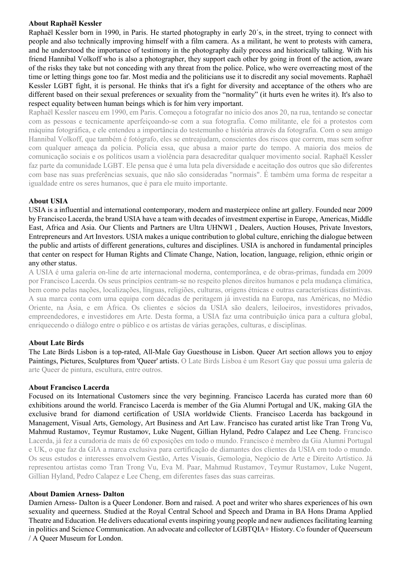### About Raphaël Kessler

Raphaël Kessler born in 1990, in Paris. He started photography in early 20´s, in the street, trying to connect with people and also technically improving himself with a film camera. As a militant, he went to protests with camera, and he understood the importance of testimony in the photography daily process and historically talking. With his friend Hannibal Volkoff who is also a photographer, they support each other by going in front of the action, aware of the risks they take but not conceding with any threat from the police. Police, who were overreacting most of the time or letting things gone too far. Most media and the politicians use it to discredit any social movements. Raphaël Kessler LGBT fight, it is personal. He thinks that it's a fight for diversity and acceptance of the others who are different based on their sexual preferences or sexuality from the "normality" (it hurts even he writes it). It's also to respect equality between human beings which is for him very important.

Raphaël Kessler nasceu em 1990, em Paris. Começou a fotografar no início dos anos 20, na rua, tentando se conectar com as pessoas e tecnicamente aperfeiçoando-se com a sua fotografia. Como militante, ele foi a protestos com máquina fotográfica, e ele entendeu a importância do testemunho e história através da fotografia. Com o seu amigo Hannibal Volkoff, que também é fotógrafo, eles se entreajudam, conscientes dos riscos que correm, mas sem sofrer com qualquer ameaça da polícia. Polícia essa, que abusa a maior parte do tempo. A maioria dos meios de comunicação sociais e os políticos usam a violência para desacreditar qualquer movimento social. Raphaël Kessler faz parte da comunidade LGBT. Ele pensa que é uma luta pela diversidade e aceitação dos outros que são diferentes com base nas suas preferências sexuais, que não são consideradas "normais". É também uma forma de respeitar a igualdade entre os seres humanos, que é para ele muito importante.

# About USIA

USIA is a influential and international contemporary, modern and masterpiece online art gallery. Founded near 2009 by Francisco Lacerda, the brand USIA have a team with decades of investment expertise in Europe, Americas, Middle East, Africa and Asia. Our Clients and Partners are Ultra UHNWI , Dealers, Auction Houses, Private Investors, Entrepreneurs and Art Investors. USIA makes a unique contribution to global culture, enriching the dialogue between the public and artists of different generations, cultures and disciplines. USIA is anchored in fundamental principles that center on respect for Human Rights and Climate Change, Nation, location, language, religion, ethnic origin or any other status.

A USIA é uma galeria on-line de arte internacional moderna, contemporânea, e de obras-primas, fundada em 2009 por Francisco Lacerda. Os seus princípios centram-se no respeito plenos direitos humanos e pela mudança climática, bem como pelas nações, localizações, línguas, religiões, culturas, origens étnicas e outras características distintivas. A sua marca conta com uma equipa com décadas de peritagem já investida na Europa, nas Américas, no Médio Oriente, na Ásia, e em África. Os clientes e sócios da USIA são dealers, leiloeiros, investidores privados, empreendedores, e investidores em Arte. Desta forma, a USIA faz uma contribuição única para a cultura global, enriquecendo o diálogo entre o público e os artistas de várias gerações, culturas, e disciplinas.

# About Late Birds

The Late Birds Lisbon is a top-rated, All-Male Gay Guesthouse in Lisbon. Queer Art section allows you to enjoy Paintings, Pictures, Sculptures from 'Queer' artists. O Late Birds Lisboa é um Resort Gay que possui uma galeria de arte Queer de pintura, escultura, entre outros.

# About Francisco Lacerda

Focused on its International Customers since the very beginning. Francisco Lacerda has curated more than 60 exhibitions around the world. Francisco Lacerda is member of the Gia Alumni Portugal and UK, making GIA the exclusive brand for diamond certification of USIA worldwide Clients. Francisco Lacerda has backgound in Management, Visual Arts, Gemology, Art Business and Art Law. Francisco has curated artist like Tran Trong Vu, Mahmud Rustamov, Teymur Rustamov, Luke Nugent, Gillian Hyland, Pedro Calapez and Lee Cheng. Francisco Lacerda, já fez a curadoria de mais de 60 exposições em todo o mundo. Francisco é membro da Gia Alumni Portugal e UK, o que faz da GIA a marca exclusiva para certificação de diamantes dos clientes da USIA em todo o mundo. Os seus estudos e interesses envolvem Gestão, Artes Visuais, Gemologia, Negócio de Arte e Direito Artístico. Já representou artistas como Tran Trong Vu, Eva M. Paar, Mahmud Rustamov, Teymur Rustamov, Luke Nugent, Gillian Hyland, Pedro Calapez e Lee Cheng, em diferentes fases das suas carreiras.

### About Damien Arness- Dalton

Damien Arness- Dalton is a Queer Londoner. Born and raised. A poet and writer who shares experiences of his own sexuality and queerness. Studied at the Royal Central School and Speech and Drama in BA Hons Drama Applied Theatre and Education. He delivers educational events inspiring young people and new audiences facilitating learning in politics and Science Communication. An advocate and collector of LGBTQIA+ History. Co founder of Queerseum / A Queer Museum for London.